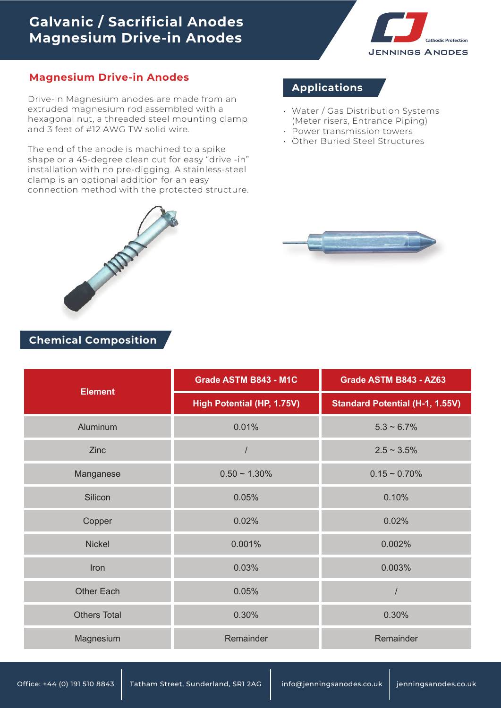## **Galvanic / Sacrificial Anodes Magnesium Drive-in Anodes**



#### **Magnesium Drive-in Anodes**

Drive-in Magnesium anodes are made from an extruded magnesium rod assembled with a hexagonal nut, a threaded steel mounting clamp and 3 feet of #12 AWG TW solid wire.

The end of the anode is machined to a spike shape or a 45-degree clean cut for easy "drive -in" installation with no pre-digging. A stainless-steel clamp is an optional addition for an easy connection method with the protected structure.

### **Applications**

- Water / Gas Distribution Systems (Meter risers, Entrance Piping)
- Power transmission towers
- Other Buried Steel Structures •



#### **Chemical Composition**

| <b>Element</b>      | Grade ASTM B843 - M1C      | Grade ASTM B843 - AZ63                 |  |
|---------------------|----------------------------|----------------------------------------|--|
|                     | High Potential (HP, 1.75V) | <b>Standard Potential (H-1, 1.55V)</b> |  |
| Aluminum            | 0.01%                      | $5.3 \sim 6.7\%$                       |  |
| Zinc                |                            | $2.5 \sim 3.5\%$                       |  |
| Manganese           | $0.50 \sim 1.30\%$         | $0.15 \sim 0.70\%$                     |  |
| Silicon             | 0.05%                      | 0.10%                                  |  |
| Copper              | 0.02%                      | 0.02%                                  |  |
| <b>Nickel</b>       | 0.001%                     | 0.002%                                 |  |
| Iron                | 0.03%                      | 0.003%                                 |  |
| <b>Other Each</b>   | 0.05%                      | $\prime$                               |  |
| <b>Others Total</b> | 0.30%                      | 0.30%                                  |  |
| Magnesium           | Remainder                  | Remainder                              |  |